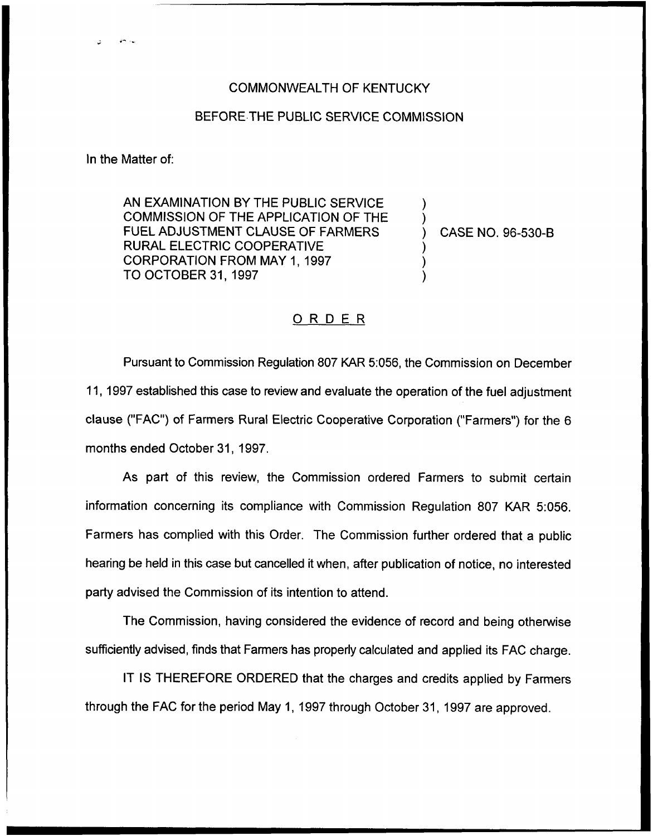## COMMONWEALTH OF KENTUCKY

## BEFORE THE PUBLIC SERVICE COMMISSION

In the Matter of:

AN EXAMINATION BY THE PUBLIC SERVICE COMMISSION OF THE APPLICATION OF THE FUEL ADJUSTMENT CLAUSE OF FARMERS RURAL ELECTRIC COOPERATIVE CORPORATION FROM MAY 1, 1997 TO OCTOBER 31, 1997

) CASE NO. 96-530-B

) )

) ) )

## ORDER

Pursuant to Commission Regulation 807 KAR 5:056, the Commission on December 11, 1997 established this case to review and evaluate the operation of the fuel adjustment clause ("FAC") of Farmers Rural Electric Cooperative Corporation ("Farmers") for the 6 months ended October 31, 1997.

As part of this review, the Commission ordered Farmers to submit certain information concerning its compliance with Commission Regulation 807 KAR 5:056. Farmers has complied with this Order. The Commission further ordered that a public hearing be held in this case but cancelled it when, after publication of notice, no interested party advised the Commission of its intention to attend.

The Commission, having considered the evidence of record and being otherwise sufficiently advised, finds that Farmers has properly calculated and applied its FAC charge.

IT IS THEREFORE ORDERED that the charges and credits applied by Farmers through the FAC for the period May 1, 1997 through October 31, 1997 are approved.